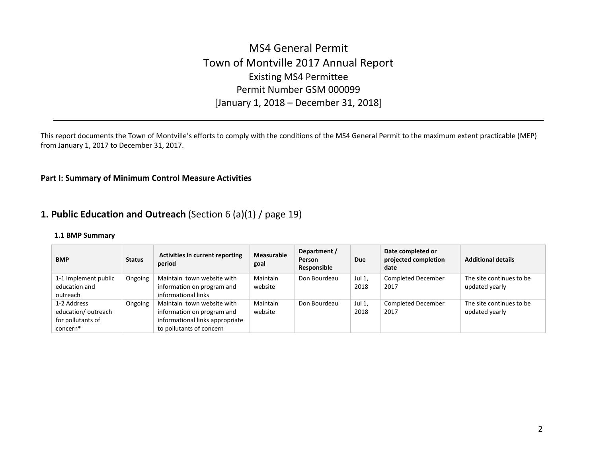# MS4 General Permit Town of Montville 2017 Annual Report Existing MS4 Permittee Permit Number GSM 000099 [January 1, 2018 – December 31, 2018]

This report documents the Town of Montville's efforts to comply with the conditions of the MS4 General Permit to the maximum extent practicable (MEP) from January 1, 2017 to December 31, 2017.

#### **Part I: Summary of Minimum Control Measure Activities**

## **1. Public Education and Outreach** (Section 6 (a)(1) / page 19)

#### **1.1 BMP Summary**

| <b>BMP</b>                                                          | <b>Status</b> | <b>Activities in current reporting</b><br>period                                                                        | <b>Measurable</b><br>goal | Department /<br>Person<br>Responsible | Due            | Date completed or<br>projected completion<br>date | <b>Additional details</b>                  |
|---------------------------------------------------------------------|---------------|-------------------------------------------------------------------------------------------------------------------------|---------------------------|---------------------------------------|----------------|---------------------------------------------------|--------------------------------------------|
| 1-1 Implement public<br>education and<br>outreach                   | Ongoing       | Maintain town website with<br>information on program and<br>informational links                                         | Maintain<br>website       | Don Bourdeau                          | Jul 1,<br>2018 | <b>Completed December</b><br>2017                 | The site continues to be<br>updated yearly |
| 1-2 Address<br>education/ outreach<br>for pollutants of<br>concern* | Ongoing       | Maintain town website with<br>information on program and<br>informational links appropriate<br>to pollutants of concern | Maintain<br>website       | Don Bourdeau                          | Jul 1,<br>2018 | Completed December<br>2017                        | The site continues to be<br>updated yearly |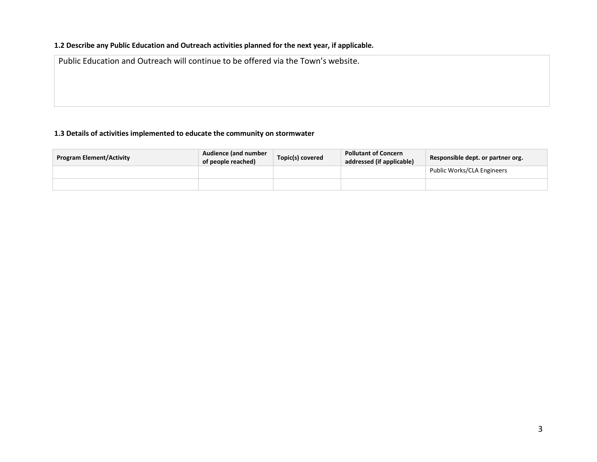### **1.2 Describe any Public Education and Outreach activities planned for the next year, if applicable.**

Public Education and Outreach will continue to be offered via the Town's website.

## **1.3 Details of activities implemented to educate the community on stormwater**

| <b>Program Element/Activity</b> | Audience (and number<br>of people reached) | Topic(s) covered | <b>Pollutant of Concern</b><br>addressed (if applicable) | Responsible dept. or partner org. |
|---------------------------------|--------------------------------------------|------------------|----------------------------------------------------------|-----------------------------------|
|                                 |                                            |                  |                                                          | Public Works/CLA Engineers        |
|                                 |                                            |                  |                                                          |                                   |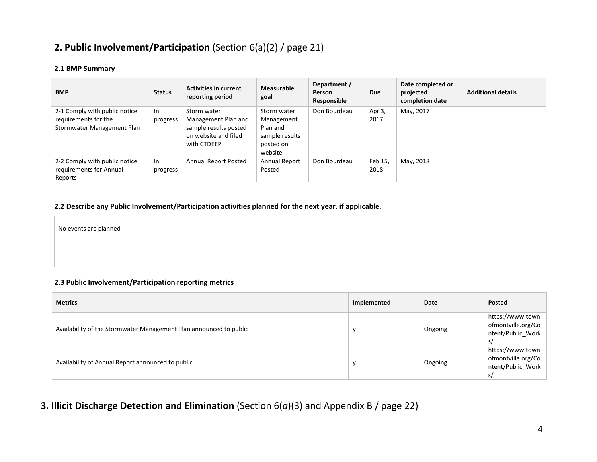## **2. Public Involvement/Participation** (Section 6(a)(2) / page 21)

#### **2.1 BMP Summary**

| <b>BMP</b>                                                                          | <b>Status</b>  | <b>Activities in current</b><br>reporting period                                                   | <b>Measurable</b><br>goal                                                       | Department /<br>Person<br>Responsible | <b>Due</b>      | Date completed or<br>projected<br>completion date | <b>Additional details</b> |
|-------------------------------------------------------------------------------------|----------------|----------------------------------------------------------------------------------------------------|---------------------------------------------------------------------------------|---------------------------------------|-----------------|---------------------------------------------------|---------------------------|
| 2-1 Comply with public notice<br>requirements for the<br>Stormwater Management Plan | In<br>progress | Storm water<br>Management Plan and<br>sample results posted<br>on website and filed<br>with CTDEEP | Storm water<br>Management<br>Plan and<br>sample results<br>posted on<br>website | Don Bourdeau                          | Apr 3,<br>2017  | May, 2017                                         |                           |
| 2-2 Comply with public notice<br>requirements for Annual<br>Reports                 | In<br>progress | Annual Report Posted                                                                               | Annual Report<br>Posted                                                         | Don Bourdeau                          | Feb 15,<br>2018 | May, 2018                                         |                           |

#### **2.2 Describe any Public Involvement/Participation activities planned for the next year, if applicable.**

No events are planned

## **2.3 Public Involvement/Participation reporting metrics**

| <b>Metrics</b>                                                     | Implemented | Date    | Posted                                                            |
|--------------------------------------------------------------------|-------------|---------|-------------------------------------------------------------------|
| Availability of the Stormwater Management Plan announced to public |             | Ongoing | https://www.town<br>ofmontville.org/Co<br>ntent/Public Work<br>S, |
| Availability of Annual Report announced to public                  |             | Ongoing | https://www.town<br>ofmontville.org/Co<br>ntent/Public Work<br>S/ |

## **3. Illicit Discharge Detection and Elimination** (Section 6(*a*)(3) and Appendix B / page 22)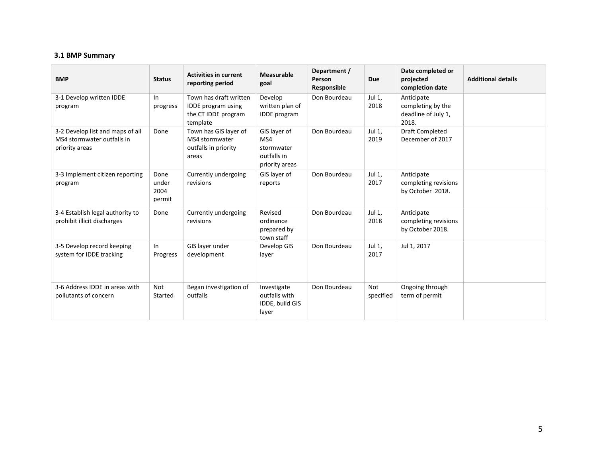### **3.1 BMP Summary**

| <b>BMP</b>                                                                       | <b>Status</b>                   | <b>Activities in current</b><br>reporting period                                | Measurable<br>goal                                                 | Department /<br>Person<br>Responsible | <b>Due</b>              | Date completed or<br>projected<br>completion date               | <b>Additional details</b> |
|----------------------------------------------------------------------------------|---------------------------------|---------------------------------------------------------------------------------|--------------------------------------------------------------------|---------------------------------------|-------------------------|-----------------------------------------------------------------|---------------------------|
| 3-1 Develop written IDDE<br>program                                              | In<br>progress                  | Town has draft written<br>IDDE program using<br>the CT IDDE program<br>template | Develop<br>written plan of<br><b>IDDE</b> program                  | Don Bourdeau                          | Jul 1,<br>2018          | Anticipate<br>completing by the<br>deadline of July 1,<br>2018. |                           |
| 3-2 Develop list and maps of all<br>MS4 stormwater outfalls in<br>priority areas | Done                            | Town has GIS layer of<br>MS4 stormwater<br>outfalls in priority<br>areas        | GIS layer of<br>MS4<br>stormwater<br>outfalls in<br>priority areas | Don Bourdeau                          | Jul 1,<br>2019          | <b>Draft Completed</b><br>December of 2017                      |                           |
| 3-3 Implement citizen reporting<br>program                                       | Done<br>under<br>2004<br>permit | Currently undergoing<br>revisions                                               | GIS layer of<br>reports                                            | Don Bourdeau                          | Jul 1,<br>2017          | Anticipate<br>completing revisions<br>by October 2018.          |                           |
| 3-4 Establish legal authority to<br>prohibit illicit discharges                  | Done                            | Currently undergoing<br>revisions                                               | Revised<br>ordinance<br>prepared by<br>town staff                  | Don Bourdeau                          | Jul 1,<br>2018          | Anticipate<br>completing revisions<br>by October 2018.          |                           |
| 3-5 Develop record keeping<br>system for IDDE tracking                           | In<br>Progress                  | GIS layer under<br>development                                                  | Develop GIS<br>layer                                               | Don Bourdeau                          | Jul 1,<br>2017          | Jul 1, 2017                                                     |                           |
| 3-6 Address IDDE in areas with<br>pollutants of concern                          | Not<br>Started                  | Began investigation of<br>outfalls                                              | Investigate<br>outfalls with<br>IDDE, build GIS<br>layer           | Don Bourdeau                          | <b>Not</b><br>specified | Ongoing through<br>term of permit                               |                           |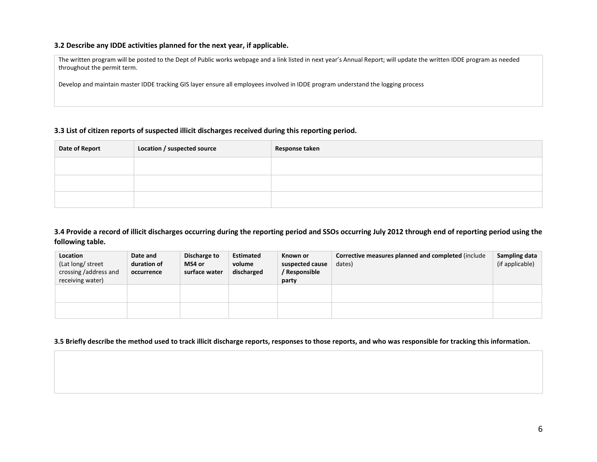#### **3.2 Describe any IDDE activities planned for the next year, if applicable.**

The written program will be posted to the Dept of Public works webpage and a link listed in next year's Annual Report; will update the written IDDE program as needed throughout the permit term.

Develop and maintain master IDDE tracking GIS layer ensure all employees involved in IDDE program understand the logging process

#### **3.3 List of citizen reports of suspected illicit discharges received during this reporting period.**

| Date of Report | Location / suspected source | Response taken |
|----------------|-----------------------------|----------------|
|                |                             |                |
|                |                             |                |
|                |                             |                |

#### **3.4 Provide a record of illicit discharges occurring during the reporting period and SSOs occurring July 2012 through end of reporting period using the following table.**

| Location              | Date and    | Discharge to  | <b>Estimated</b> | Known or        | Corrective measures planned and completed (include | Sampling data   |
|-----------------------|-------------|---------------|------------------|-----------------|----------------------------------------------------|-----------------|
| (Lat long/ street     | duration of | MS4 or        | volume           | suspected cause | dates)                                             | (if applicable) |
| crossing /address and | occurrence  | surface water | discharged       | / Responsible   |                                                    |                 |
| receiving water)      |             |               |                  | party           |                                                    |                 |
|                       |             |               |                  |                 |                                                    |                 |
|                       |             |               |                  |                 |                                                    |                 |
|                       |             |               |                  |                 |                                                    |                 |
|                       |             |               |                  |                 |                                                    |                 |
|                       |             |               |                  |                 |                                                    |                 |

**3.5 Briefly describe the method used to track illicit discharge reports, responses to those reports, and who was responsible for tracking this information.**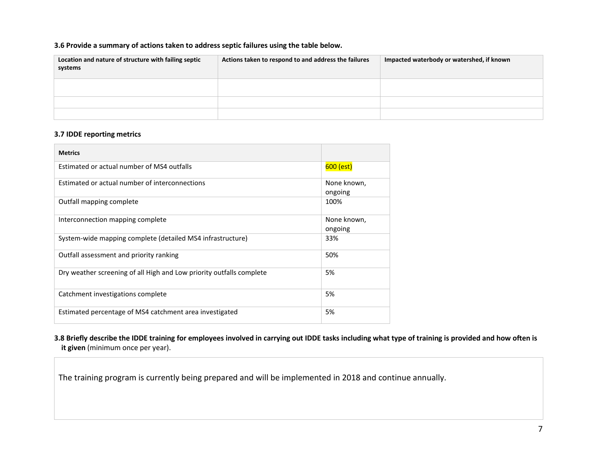#### **3.6 Provide a summary of actions taken to address septic failures using the table below.**

| Location and nature of structure with failing septic<br>systems | Actions taken to respond to and address the failures | Impacted waterbody or watershed, if known |
|-----------------------------------------------------------------|------------------------------------------------------|-------------------------------------------|
|                                                                 |                                                      |                                           |
|                                                                 |                                                      |                                           |
|                                                                 |                                                      |                                           |

#### **3.7 IDDE reporting metrics**

| <b>Metrics</b>                                                       |                        |
|----------------------------------------------------------------------|------------------------|
| Estimated or actual number of MS4 outfalls                           | 600 (est)              |
| Estimated or actual number of interconnections                       | None known,<br>ongoing |
| Outfall mapping complete                                             | 100%                   |
| Interconnection mapping complete                                     | None known,<br>ongoing |
| System-wide mapping complete (detailed MS4 infrastructure)           | 33%                    |
| Outfall assessment and priority ranking                              | 50%                    |
| Dry weather screening of all High and Low priority outfalls complete | 5%                     |
| Catchment investigations complete                                    | 5%                     |
| Estimated percentage of MS4 catchment area investigated              | 5%                     |

## **3.8 Briefly describe the IDDE training for employees involved in carrying out IDDE tasks including what type of training is provided and how often is it given** (minimum once per year).

The training program is currently being prepared and will be implemented in 2018 and continue annually.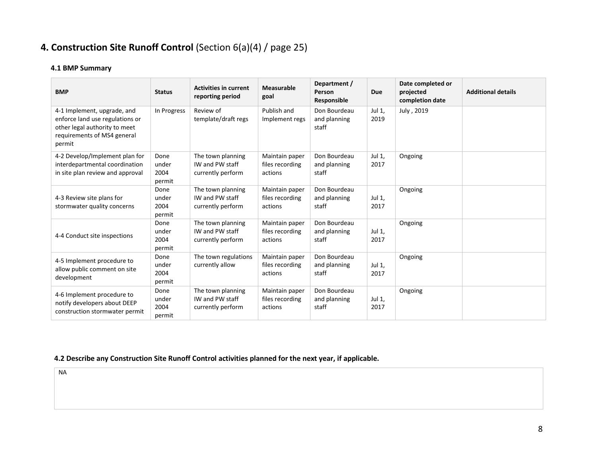# **4. Construction Site Runoff Control** (Section 6(a)(4) / page 25)

## **4.1 BMP Summary**

| <b>BMP</b>                                                                                                                               | <b>Status</b>                   | <b>Activities in current</b><br>reporting period                 | Measurable<br>goal                           | Department /<br>Person<br>Responsible | Due            | Date completed or<br>projected<br>completion date | <b>Additional details</b> |
|------------------------------------------------------------------------------------------------------------------------------------------|---------------------------------|------------------------------------------------------------------|----------------------------------------------|---------------------------------------|----------------|---------------------------------------------------|---------------------------|
| 4-1 Implement, upgrade, and<br>enforce land use regulations or<br>other legal authority to meet<br>requirements of MS4 general<br>permit | In Progress                     | Review of<br>template/draft regs                                 | Publish and<br>Implement regs                | Don Bourdeau<br>and planning<br>staff | Jul 1,<br>2019 | July, 2019                                        |                           |
| 4-2 Develop/Implement plan for<br>interdepartmental coordination<br>in site plan review and approval                                     | Done<br>under<br>2004<br>permit | The town planning<br>IW and PW staff<br>currently perform        | Maintain paper<br>files recording<br>actions | Don Bourdeau<br>and planning<br>staff | Jul 1,<br>2017 | Ongoing                                           |                           |
| 4-3 Review site plans for<br>stormwater quality concerns                                                                                 | Done<br>under<br>2004<br>permit | The town planning<br><b>IW and PW staff</b><br>currently perform | Maintain paper<br>files recording<br>actions | Don Bourdeau<br>and planning<br>staff | Jul 1,<br>2017 | Ongoing                                           |                           |
| 4-4 Conduct site inspections                                                                                                             | Done<br>under<br>2004<br>permit | The town planning<br>IW and PW staff<br>currently perform        | Maintain paper<br>files recording<br>actions | Don Bourdeau<br>and planning<br>staff | Jul 1,<br>2017 | Ongoing                                           |                           |
| 4-5 Implement procedure to<br>allow public comment on site<br>development                                                                | Done<br>under<br>2004<br>permit | The town regulations<br>currently allow                          | Maintain paper<br>files recording<br>actions | Don Bourdeau<br>and planning<br>staff | Jul 1,<br>2017 | Ongoing                                           |                           |
| 4-6 Implement procedure to<br>notify developers about DEEP<br>construction stormwater permit                                             | Done<br>under<br>2004<br>permit | The town planning<br>IW and PW staff<br>currently perform        | Maintain paper<br>files recording<br>actions | Don Bourdeau<br>and planning<br>staff | Jul 1,<br>2017 | Ongoing                                           |                           |

## **4.2 Describe any Construction Site Runoff Control activities planned for the next year, if applicable.**

NA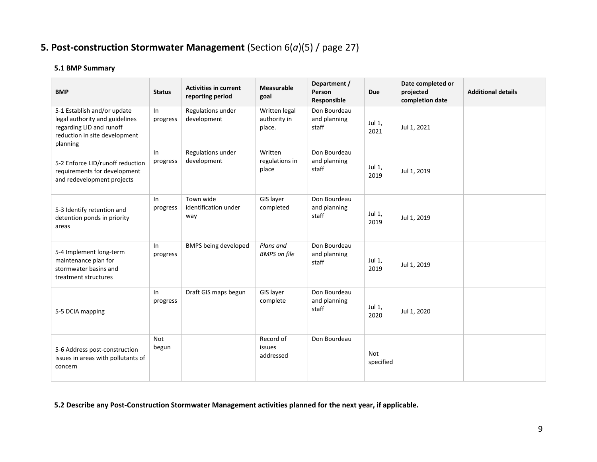## **5. Post-construction Stormwater Management** (Section 6(*a*)(5) / page 27)

## **5.1 BMP Summary**

| <b>BMP</b>                                                                                                                             | <b>Status</b>     | <b>Activities in current</b><br>reporting period | <b>Measurable</b><br>goal               | Department /<br>Person<br>Responsible | <b>Due</b>       | Date completed or<br>projected<br>completion date | <b>Additional details</b> |
|----------------------------------------------------------------------------------------------------------------------------------------|-------------------|--------------------------------------------------|-----------------------------------------|---------------------------------------|------------------|---------------------------------------------------|---------------------------|
| 5-1 Establish and/or update<br>legal authority and guidelines<br>regarding LID and runoff<br>reduction in site development<br>planning | $\ln$<br>progress | Regulations under<br>development                 | Written legal<br>authority in<br>place. | Don Bourdeau<br>and planning<br>staff | Jul 1,<br>2021   | Jul 1, 2021                                       |                           |
| 5-2 Enforce LID/runoff reduction<br>requirements for development<br>and redevelopment projects                                         | $\ln$<br>progress | Regulations under<br>development                 | Written<br>regulations in<br>place      | Don Bourdeau<br>and planning<br>staff | Jul 1,<br>2019   | Jul 1, 2019                                       |                           |
| 5-3 Identify retention and<br>detention ponds in priority<br>areas                                                                     | $\ln$<br>progress | Town wide<br>identification under<br>way         | GIS layer<br>completed                  | Don Bourdeau<br>and planning<br>staff | Jul 1,<br>2019   | Jul 1, 2019                                       |                           |
| 5-4 Implement long-term<br>maintenance plan for<br>stormwater basins and<br>treatment structures                                       | In<br>progress    | <b>BMPS being developed</b>                      | Plans and<br><b>BMPS</b> on file        | Don Bourdeau<br>and planning<br>staff | Jul 1,<br>2019   | Jul 1, 2019                                       |                           |
| 5-5 DCIA mapping                                                                                                                       | $\ln$<br>progress | Draft GIS maps begun                             | GIS layer<br>complete                   | Don Bourdeau<br>and planning<br>staff | Jul 1,<br>2020   | Jul 1, 2020                                       |                           |
| 5-6 Address post-construction<br>issues in areas with pollutants of<br>concern                                                         | Not<br>begun      |                                                  | Record of<br>issues<br>addressed        | Don Bourdeau                          | Not<br>specified |                                                   |                           |

**5.2 Describe any Post-Construction Stormwater Management activities planned for the next year, if applicable.**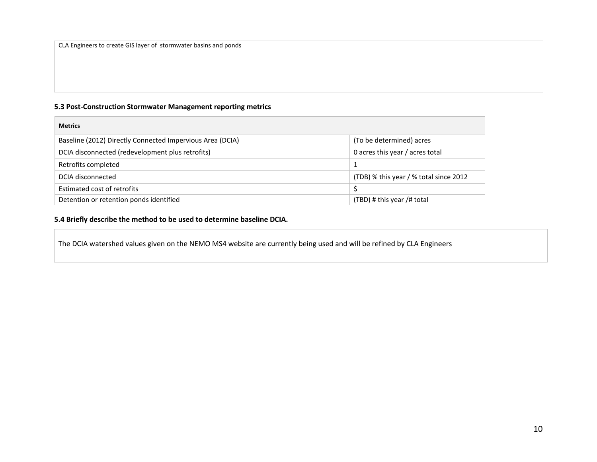CLA Engineers to create GIS layer of stormwater basins and ponds

## **5.3 Post-Construction Stormwater Management reporting metrics**

| <b>Metrics</b>                                            |                                        |
|-----------------------------------------------------------|----------------------------------------|
| Baseline (2012) Directly Connected Impervious Area (DCIA) | (To be determined) acres               |
| DCIA disconnected (redevelopment plus retrofits)          | 0 acres this year / acres total        |
| Retrofits completed                                       | 1                                      |
| DCIA disconnected                                         | (TDB) % this year / % total since 2012 |
| Estimated cost of retrofits                               |                                        |
| Detention or retention ponds identified                   | $(TBD)$ # this year /# total           |

## **5.4 Briefly describe the method to be used to determine baseline DCIA.**

The DCIA watershed values given on the NEMO MS4 website are currently being used and will be refined by CLA Engineers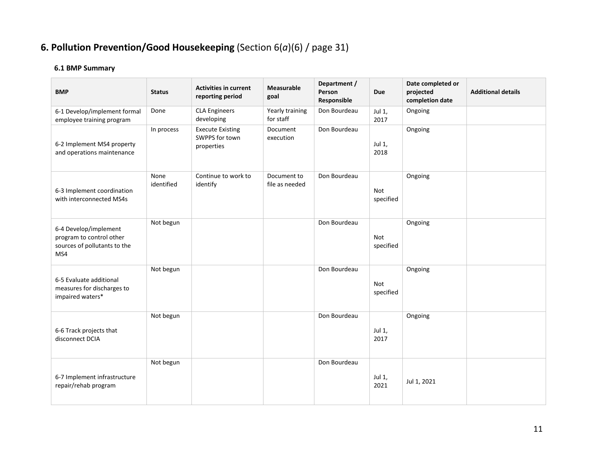# **6. Pollution Prevention/Good Housekeeping** (Section 6(*a*)(6) / page 31)

## **6.1 BMP Summary**

| <b>BMP</b>                                                                               | <b>Status</b>      | <b>Activities in current</b><br>reporting period        | <b>Measurable</b><br>goal     | Department /<br>Person<br>Responsible | <b>Due</b>              | Date completed or<br>projected<br>completion date | <b>Additional details</b> |
|------------------------------------------------------------------------------------------|--------------------|---------------------------------------------------------|-------------------------------|---------------------------------------|-------------------------|---------------------------------------------------|---------------------------|
| 6-1 Develop/implement formal<br>employee training program                                | Done               | <b>CLA Engineers</b><br>developing                      | Yearly training<br>for staff  | Don Bourdeau                          | Jul 1,<br>2017          | Ongoing                                           |                           |
| 6-2 Implement MS4 property<br>and operations maintenance                                 | In process         | <b>Execute Existing</b><br>SWPPS for town<br>properties | Document<br>execution         | Don Bourdeau                          | Jul 1,<br>2018          | Ongoing                                           |                           |
| 6-3 Implement coordination<br>with interconnected MS4s                                   | None<br>identified | Continue to work to<br>identify                         | Document to<br>file as needed | Don Bourdeau                          | Not<br>specified        | Ongoing                                           |                           |
| 6-4 Develop/implement<br>program to control other<br>sources of pollutants to the<br>MS4 | Not begun          |                                                         |                               | Don Bourdeau                          | <b>Not</b><br>specified | Ongoing                                           |                           |
| 6-5 Evaluate additional<br>measures for discharges to<br>impaired waters*                | Not begun          |                                                         |                               | Don Bourdeau                          | Not<br>specified        | Ongoing                                           |                           |
| 6-6 Track projects that<br>disconnect DCIA                                               | Not begun          |                                                         |                               | Don Bourdeau                          | Jul 1,<br>2017          | Ongoing                                           |                           |
| 6-7 Implement infrastructure<br>repair/rehab program                                     | Not begun          |                                                         |                               | Don Bourdeau                          | Jul 1,<br>2021          | Jul 1, 2021                                       |                           |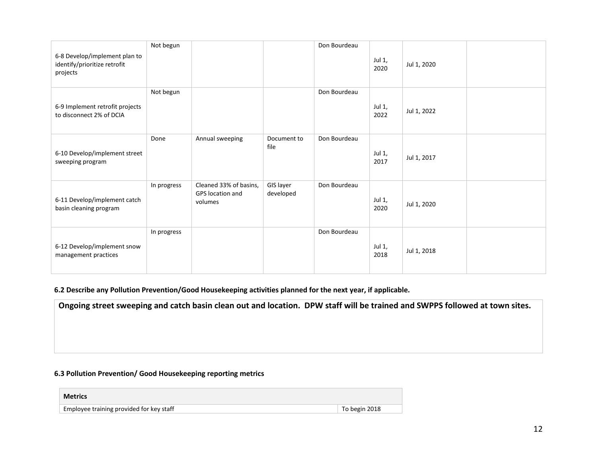| 6-8 Develop/implement plan to<br>identify/prioritize retrofit<br>projects | Not begun   |                                                              |                        | Don Bourdeau | Jul 1,<br>2020 | Jul 1, 2020 |  |
|---------------------------------------------------------------------------|-------------|--------------------------------------------------------------|------------------------|--------------|----------------|-------------|--|
| 6-9 Implement retrofit projects<br>to disconnect 2% of DCIA               | Not begun   |                                                              |                        | Don Bourdeau | Jul 1,<br>2022 | Jul 1, 2022 |  |
| 6-10 Develop/implement street<br>sweeping program                         | Done        | Annual sweeping                                              | Document to<br>file    | Don Bourdeau | Jul 1,<br>2017 | Jul 1, 2017 |  |
| 6-11 Develop/implement catch<br>basin cleaning program                    | In progress | Cleaned 33% of basins,<br><b>GPS</b> location and<br>volumes | GIS layer<br>developed | Don Bourdeau | Jul 1,<br>2020 | Jul 1, 2020 |  |
| 6-12 Develop/implement snow<br>management practices                       | In progress |                                                              |                        | Don Bourdeau | Jul 1,<br>2018 | Jul 1, 2018 |  |

**6.2 Describe any Pollution Prevention/Good Housekeeping activities planned for the next year, if applicable.**

**Ongoing street sweeping and catch basin clean out and location. DPW staff will be trained and SWPPS followed at town sites.**

## **6.3 Pollution Prevention/ Good Housekeeping reporting metrics**

**Metrics** Employee training provided for key staff To begin 2018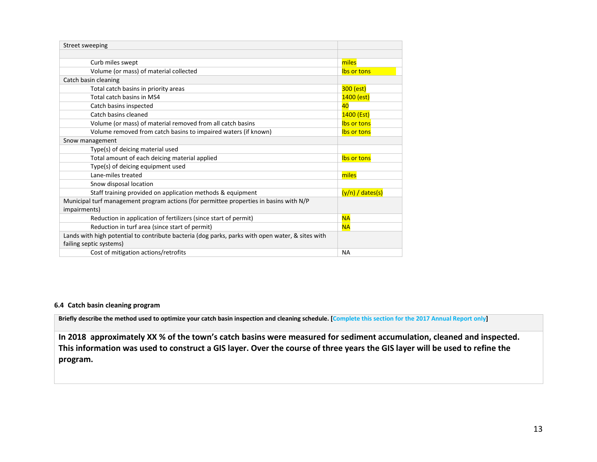| <b>Street sweeping</b>                                                                                 |                    |  |  |
|--------------------------------------------------------------------------------------------------------|--------------------|--|--|
|                                                                                                        |                    |  |  |
| Curb miles swept                                                                                       | miles              |  |  |
| Volume (or mass) of material collected                                                                 | <b>lbs or tons</b> |  |  |
| Catch basin cleaning                                                                                   |                    |  |  |
| Total catch basins in priority areas                                                                   | 300 (est)          |  |  |
| Total catch basins in MS4                                                                              | 1400 (est)         |  |  |
| Catch basins inspected                                                                                 | 40                 |  |  |
| Catch basins cleaned                                                                                   | 1400 (Est)         |  |  |
| Volume (or mass) of material removed from all catch basins                                             | <b>lbs or tons</b> |  |  |
| Volume removed from catch basins to impaired waters (if known)                                         | <b>lbs or tons</b> |  |  |
| Snow management                                                                                        |                    |  |  |
| Type(s) of deicing material used                                                                       |                    |  |  |
| Total amount of each deicing material applied                                                          | <b>lbs or tons</b> |  |  |
| Type(s) of deicing equipment used                                                                      |                    |  |  |
| Lane-miles treated                                                                                     | miles              |  |  |
| Snow disposal location                                                                                 |                    |  |  |
| Staff training provided on application methods & equipment                                             | $(y/n) /$ dates(s) |  |  |
| Municipal turf management program actions (for permittee properties in basins with N/P<br>impairments) |                    |  |  |
| Reduction in application of fertilizers (since start of permit)                                        | <b>NA</b>          |  |  |
| Reduction in turf area (since start of permit)                                                         | <b>NA</b>          |  |  |
| Lands with high potential to contribute bacteria (dog parks, parks with open water, & sites with       |                    |  |  |
| failing septic systems)                                                                                |                    |  |  |
| Cost of mitigation actions/retrofits                                                                   | <b>NA</b>          |  |  |

#### **6.4 Catch basin cleaning program**

**Briefly describe the method used to optimize your catch basin inspection and cleaning schedule. [Complete this section for the 2017 Annual Report only]**

**In 2018 approximately XX % of the town's catch basins were measured for sediment accumulation, cleaned and inspected. This information was used to construct a GIS layer. Over the course of three years the GIS layer will be used to refine the program.**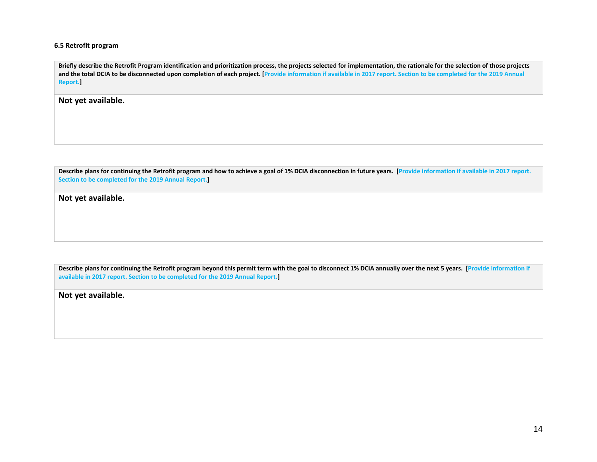#### **6.5 Retrofit program**

**Briefly describe the Retrofit Program identification and prioritization process, the projects selected for implementation, the rationale for the selection of those projects and the total DCIA to be disconnected upon completion of each project. [Provide information if available in 2017 report. Section to be completed for the 2019 Annual Report.]**

**Not yet available.**

**Describe plans for continuing the Retrofit program and how to achieve a goal of 1% DCIA disconnection in future years. [Provide information if available in 2017 report. Section to be completed for the 2019 Annual Report.]**

**Not yet available.**

**Describe plans for continuing the Retrofit program beyond this permit term with the goal to disconnect 1% DCIA annually over the next 5 years. [Provide information if available in 2017 report. Section to be completed for the 2019 Annual Report.]**

**Not yet available.**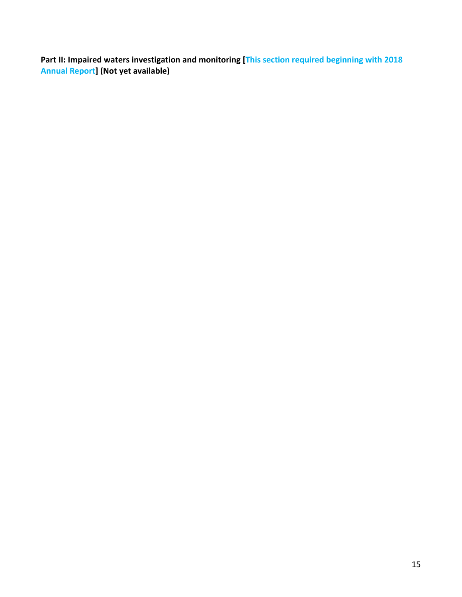**Part II: Impaired waters investigation and monitoring [This section required beginning with 2018 Annual Report] (Not yet available)**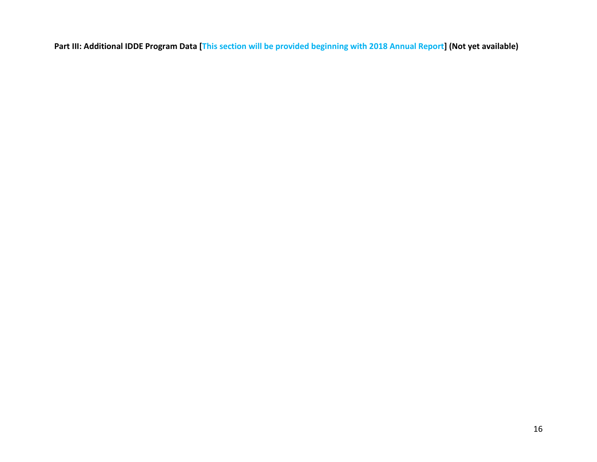**Part III: Additional IDDE Program Data [This section will be provided beginning with 2018 Annual Report] (Not yet available)**